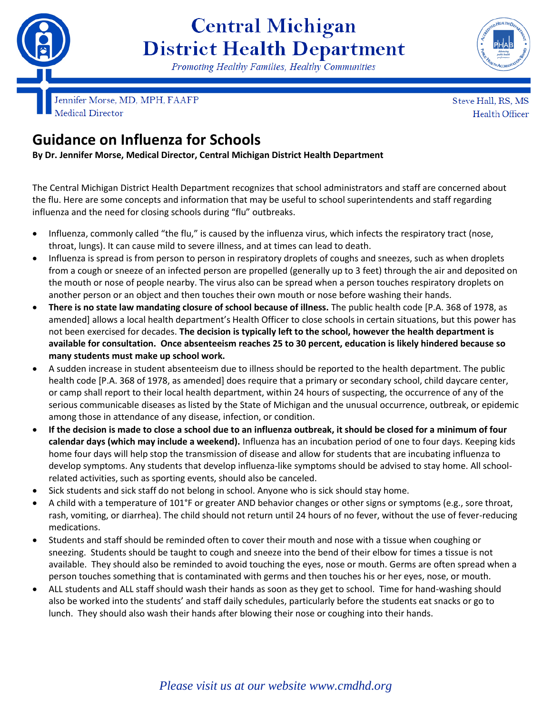

## **Central Michigan District Health Department**

Promoting Healthy Families, Healthy Communities



Jennifer Morse, MD, MPH, FAAFP Medical Director

Steve Hall, RS, MS Health Officer

## **Guidance on Influenza for Schools**

**By Dr. Jennifer Morse, Medical Director, Central Michigan District Health Department**

The Central Michigan District Health Department recognizes that school administrators and staff are concerned about the flu. Here are some concepts and information that may be useful to school superintendents and staff regarding influenza and the need for closing schools during "flu" outbreaks.

- Influenza, commonly called "the flu," is caused by the influenza virus, which infects the respiratory tract (nose, throat, lungs). It can cause mild to severe illness, and at times can lead to death.
- Influenza is spread is from person to person in respiratory droplets of coughs and sneezes, such as when droplets from a cough or sneeze of an infected person are propelled (generally up to 3 feet) through the air and deposited on the mouth or nose of people nearby. The virus also can be spread when a person touches respiratory droplets on another person or an object and then touches their own mouth or nose before washing their hands.
- **There is no state law mandating closure of school because of illness.** The public health code [P.A. 368 of 1978, as amended] allows a local health department's Health Officer to close schools in certain situations, but this power has not been exercised for decades. **The decision is typically left to the school, however the health department is available for consultation. Once absenteeism reaches 25 to 30 percent, education is likely hindered because so many students must make up school work.**
- A sudden increase in student absenteeism due to illness should be reported to the health department. The public health code [P.A. 368 of 1978, as amended] does require that a primary or secondary school, child daycare center, or camp shall report to their local health department, within 24 hours of suspecting, the occurrence of any of the serious communicable diseases as listed by the State of Michigan and the unusual occurrence, outbreak, or epidemic among those in attendance of any disease, infection, or condition.
- **If the decision is made to close a school due to an influenza outbreak, it should be closed for a minimum of four calendar days (which may include a weekend).** Influenza has an incubation period of one to four days. Keeping kids home four days will help stop the transmission of disease and allow for students that are incubating influenza to develop symptoms. Any students that develop influenza-like symptoms should be advised to stay home. All schoolrelated activities, such as sporting events, should also be canceled.
- Sick students and sick staff do not belong in school. Anyone who is sick should stay home.
- A child with a temperature of 101°F or greater AND behavior changes or other signs or symptoms (e.g., sore throat, rash, vomiting, or diarrhea). The child should not return until 24 hours of no fever, without the use of fever-reducing medications.
- Students and staff should be reminded often to cover their mouth and nose with a tissue when coughing or sneezing. Students should be taught to cough and sneeze into the bend of their elbow for times a tissue is not available. They should also be reminded to avoid touching the eyes, nose or mouth. Germs are often spread when a person touches something that is contaminated with germs and then touches his or her eyes, nose, or mouth.
- ALL students and ALL staff should wash their hands as soon as they get to school. Time for hand-washing should also be worked into the students' and staff daily schedules, particularly before the students eat snacks or go to lunch. They should also wash their hands after blowing their nose or coughing into their hands.